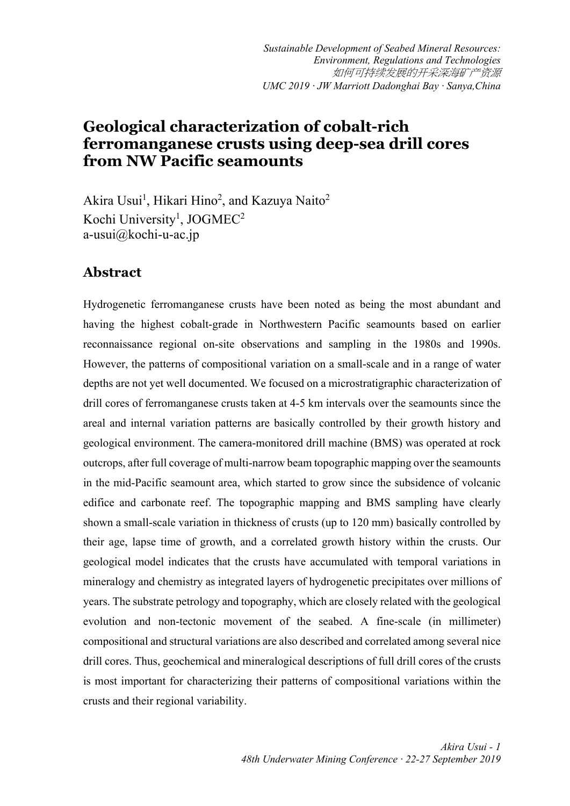## **Geological characterization of cobalt-rich ferromanganese crusts using deep-sea drill cores from NW Pacific seamounts**

Akira Usui<sup>1</sup>, Hikari Hino<sup>2</sup>, and Kazuya Naito<sup>2</sup> Kochi University<sup>1</sup>, JOGMEC<sup>2</sup> a-usui@kochi-u-ac.jp

## **Abstract**

Hydrogenetic ferromanganese crusts have been noted as being the most abundant and having the highest cobalt-grade in Northwestern Pacific seamounts based on earlier reconnaissance regional on-site observations and sampling in the 1980s and 1990s. However, the patterns of compositional variation on a small-scale and in a range of water depths are not yet well documented. We focused on a microstratigraphic characterization of drill cores of ferromanganese crusts taken at 4-5 km intervals over the seamounts since the areal and internal variation patterns are basically controlled by their growth history and geological environment. The camera-monitored drill machine (BMS) was operated at rock outcrops, after full coverage of multi-narrow beam topographic mapping over the seamounts in the mid-Pacific seamount area, which started to grow since the subsidence of volcanic edifice and carbonate reef. The topographic mapping and BMS sampling have clearly shown a small-scale variation in thickness of crusts (up to 120 mm) basically controlled by their age, lapse time of growth, and a correlated growth history within the crusts. Our geological model indicates that the crusts have accumulated with temporal variations in mineralogy and chemistry as integrated layers of hydrogenetic precipitates over millions of years. The substrate petrology and topography, which are closely related with the geological evolution and non-tectonic movement of the seabed. A fine-scale (in millimeter) compositional and structural variations are also described and correlated among several nice drill cores. Thus, geochemical and mineralogical descriptions of full drill cores of the crusts is most important for characterizing their patterns of compositional variations within the crusts and their regional variability.